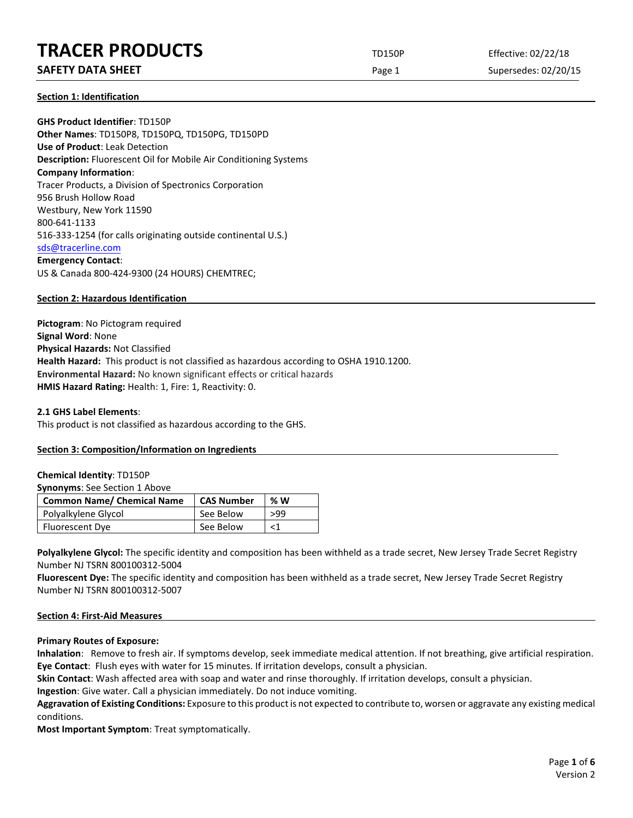# **TRACER PRODUCTS** TD150P Effective: 02/22/18

# **SAFETY DATA SHEET** SUPERFOUR CONSUMING THE Page 1 Supersedes: 02/20/15

**Section 1: Identification**

**GHS Product Identifier**: TD150P **Other Names**: TD150P8, TD150PQ, TD150PG, TD150PD **Use of Product**: Leak Detection **Description:** Fluorescent Oil for Mobile Air Conditioning Systems **Company Information**: Tracer Products, a Division of Spectronics Corporation 956 Brush Hollow Road Westbury, New York 11590 800-641-1133 516-333-1254 (for calls originating outside continental U.S.) [sds@tracerline.com](mailto:sds@tracerline.com) **Emergency Contact**: US & Canada 800-424-9300 (24 HOURS) CHEMTREC;

# **Section 2: Hazardous Identification**

**Pictogram**: No Pictogram required **Signal Word**: None **Physical Hazards:** Not Classified **Health Hazard:** This product is not classified as hazardous according to OSHA 1910.1200. **Environmental Hazard:** No known significant effects or critical hazards **HMIS Hazard Rating:** Health: 1, Fire: 1, Reactivity: 0.

## **2.1 GHS Label Elements**:

This product is not classified as hazardous according to the GHS.

## **Section 3: Composition/Information on Ingredients**

## **Chemical Identity**: TD150P

#### **Synonyms**: See Section 1 Above

| <b>Common Name/ Chemical Name</b> | <b>CAS Number</b> | % W   |
|-----------------------------------|-------------------|-------|
| Polyalkylene Glycol               | See Below         | >99   |
| Fluorescent Dye                   | See Below         | $<$ 1 |

Polyalkylene Glycol: The specific identity and composition has been withheld as a trade secret, New Jersey Trade Secret Registry Number NJ TSRN 800100312-5004

**Fluorescent Dye:** The specific identity and composition has been withheld as a trade secret, New Jersey Trade Secret Registry Number NJ TSRN 800100312-5007

## **Section 4: First-Aid Measures**

## **Primary Routes of Exposure:**

**Inhalation**: Remove to fresh air. If symptoms develop, seek immediate medical attention. If not breathing, give artificial respiration. **Eye Contact**: Flush eyes with water for 15 minutes. If irritation develops, consult a physician.

**Skin Contact**: Wash affected area with soap and water and rinse thoroughly. If irritation develops, consult a physician.

**Ingestion**: Give water. Call a physician immediately. Do not induce vomiting.

**Aggravation of Existing Conditions:** Exposure to this product is not expected to contribute to, worsen or aggravate any existing medical conditions.

**Most Important Symptom**: Treat symptomatically.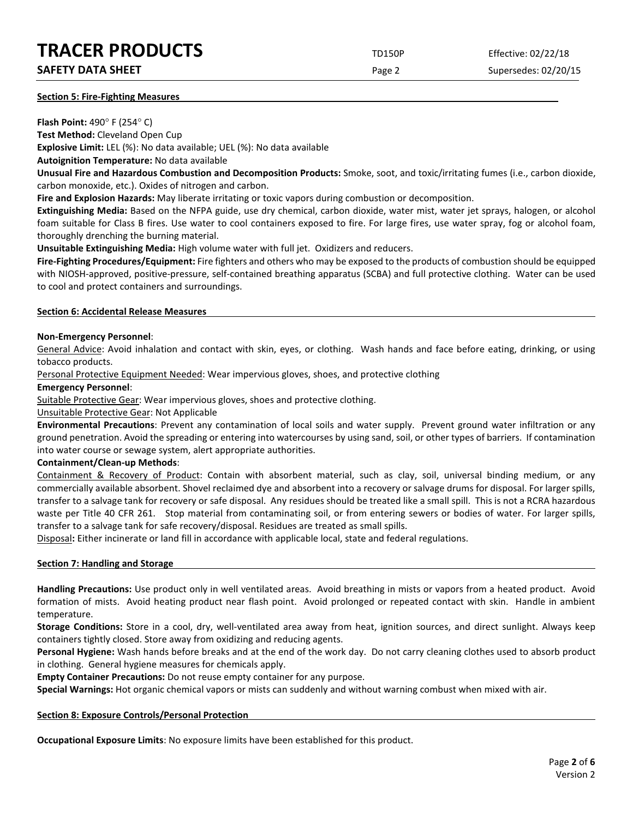# **TRACER PRODUCTS** TD150P Effective: 02/22/18

# **SAFETY DATA SHEET SHEET Page 2** Supersedes: 02/20/15

## **Section 5: Fire-Fighting Measures**

**Flash Point:** 490° F (254° C)

**Test Method:** Cleveland Open Cup **Explosive Limit:** LEL (%): No data available; UEL (%): No data available

**Autoignition Temperature:** No data available

**Unusual Fire and Hazardous Combustion and Decomposition Products:** Smoke, soot, and toxic/irritating fumes (i.e., carbon dioxide, carbon monoxide, etc.). Oxides of nitrogen and carbon.

**Fire and Explosion Hazards:** May liberate irritating or toxic vapors during combustion or decomposition.

**Extinguishing Media:** Based on the NFPA guide, use dry chemical, carbon dioxide, water mist, water jet sprays, halogen, or alcohol foam suitable for Class B fires. Use water to cool containers exposed to fire. For large fires, use water spray, fog or alcohol foam, thoroughly drenching the burning material.

**Unsuitable Extinguishing Media:** High volume water with full jet. Oxidizers and reducers.

**Fire-Fighting Procedures/Equipment:** Fire fighters and others who may be exposed to the products of combustion should be equipped with NIOSH-approved, positive-pressure, self-contained breathing apparatus (SCBA) and full protective clothing. Water can be used to cool and protect containers and surroundings.

# **Section 6: Accidental Release Measures**

# **Non-Emergency Personnel**:

General Advice: Avoid inhalation and contact with skin, eyes, or clothing. Wash hands and face before eating, drinking, or using tobacco products.

Personal Protective Equipment Needed: Wear impervious gloves, shoes, and protective clothing

# **Emergency Personnel**:

Suitable Protective Gear: Wear impervious gloves, shoes and protective clothing.

Unsuitable Protective Gear: Not Applicable

**Environmental Precautions**: Prevent any contamination of local soils and water supply. Prevent ground water infiltration or any ground penetration. Avoid the spreading or entering into watercourses by using sand, soil, or other types of barriers. If contamination into water course or sewage system, alert appropriate authorities.

# **Containment/Clean-up Methods**:

Containment & Recovery of Product: Contain with absorbent material, such as clay, soil, universal binding medium, or any commercially available absorbent. Shovel reclaimed dye and absorbent into a recovery or salvage drums for disposal. For larger spills, transfer to a salvage tank for recovery or safe disposal. Any residues should be treated like a small spill. This is not a RCRA hazardous waste per Title 40 CFR 261. Stop material from contaminating soil, or from entering sewers or bodies of water. For larger spills, transfer to a salvage tank for safe recovery/disposal. Residues are treated as small spills.

Disposal**:** Either incinerate or land fill in accordance with applicable local, state and federal regulations.

## **Section 7: Handling and Storage**

**Handling Precautions:** Use product only in well ventilated areas. Avoid breathing in mists or vapors from a heated product. Avoid formation of mists. Avoid heating product near flash point. Avoid prolonged or repeated contact with skin. Handle in ambient temperature.

**Storage Conditions:** Store in a cool, dry, well-ventilated area away from heat, ignition sources, and direct sunlight. Always keep containers tightly closed. Store away from oxidizing and reducing agents.

**Personal Hygiene:** Wash hands before breaks and at the end of the work day. Do not carry cleaning clothes used to absorb product in clothing. General hygiene measures for chemicals apply.

**Empty Container Precautions:** Do not reuse empty container for any purpose.

**Special Warnings:** Hot organic chemical vapors or mists can suddenly and without warning combust when mixed with air.

## **Section 8: Exposure Controls/Personal Protection**

**Occupational Exposure Limits**: No exposure limits have been established for this product.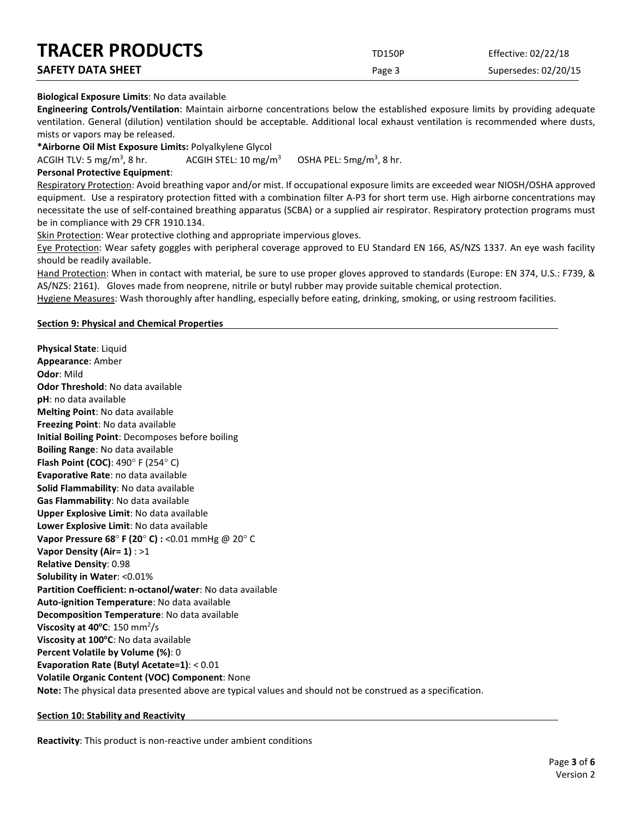| <b>TRACER PRODUCTS</b>   | <b>TD150P</b> | Effective: 02/22/18  |
|--------------------------|---------------|----------------------|
| <b>SAFETY DATA SHEET</b> | Page 3        | Supersedes: 02/20/15 |

# **Biological Exposure Limits**: No data available

**Engineering Controls/Ventilation**: Maintain airborne concentrations below the established exposure limits by providing adequate ventilation. General (dilution) ventilation should be acceptable. Additional local exhaust ventilation is recommended where dusts, mists or vapors may be released.

**\*Airborne Oil Mist Exposure Limits:** Polyalkylene Glycol

ACGIH TLV: 5 mg/m<sup>3</sup>, 8 hr. ACGIH STEL:  $10 \text{ mg/m}^3$ OSHA PEL: 5mg/m<sup>3</sup>, 8 hr.

# **Personal Protective Equipment**:

Respiratory Protection: Avoid breathing vapor and/or mist. If occupational exposure limits are exceeded wear NIOSH/OSHA approved equipment. Use a respiratory protection fitted with a combination filter A-P3 for short term use. High airborne concentrations may necessitate the use of self-contained breathing apparatus (SCBA) or a supplied air respirator. Respiratory protection programs must be in compliance with 29 CFR 1910.134.

Skin Protection: Wear protective clothing and appropriate impervious gloves.

Eye Protection: Wear safety goggles with peripheral coverage approved to EU Standard EN 166, AS/NZS 1337. An eye wash facility should be readily available.

Hand Protection: When in contact with material, be sure to use proper gloves approved to standards (Europe: EN 374, U.S.: F739, & AS/NZS: 2161). Gloves made from neoprene, nitrile or butyl rubber may provide suitable chemical protection.

Hygiene Measures: Wash thoroughly after handling, especially before eating, drinking, smoking, or using restroom facilities.

# **Section 9: Physical and Chemical Properties**

**Physical State**: Liquid **Appearance**: Amber **Odor**: Mild **Odor Threshold**: No data available **pH**: no data available **Melting Point**: No data available **Freezing Point**: No data available **Initial Boiling Point**: Decomposes before boiling **Boiling Range**: No data available **Flash Point (COC)**: 490° F (254° C) **Evaporative Rate**: no data available **Solid Flammability**: No data available **Gas Flammability**: No data available **Upper Explosive Limit**: No data available **Lower Explosive Limit**: No data available **Vapor Pressure 68**° **F (20**° **C) :** <0.01 mmHg @ 20° C **Vapor Density (Air= 1)** : >1 **Relative Density**: 0.98 **Solubility in Water**: <0.01% **Partition Coefficient: n-octanol/water**: No data available **Auto-ignition Temperature**: No data available **Decomposition Temperature**: No data available **Viscosity at 40°C:** 150 mm<sup>2</sup>/s **Viscosity at 100°C**: No data available **Percent Volatile by Volume (%)**: 0 **Evaporation Rate (Butyl Acetate=1)**: < 0.01 **Volatile Organic Content (VOC) Component**: None **Note:** The physical data presented above are typical values and should not be construed as a specification.

## **Section 10: Stability and Reactivity**

**Reactivity**: This product is non-reactive under ambient conditions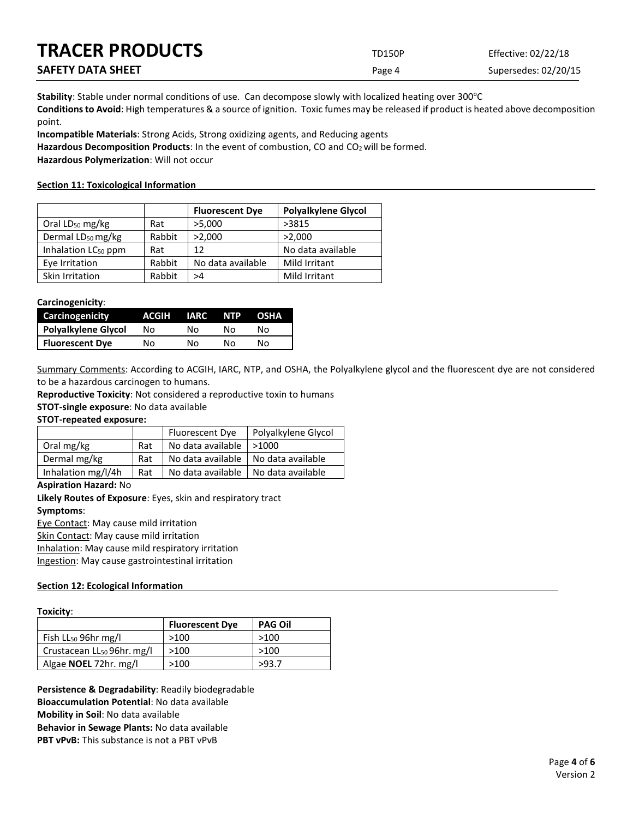| <b>TRACER PRODUCTS</b>   | <b>TD150P</b> | Effective: 02/22/18  |
|--------------------------|---------------|----------------------|
| <b>SAFETY DATA SHEET</b> | Page 4        | Supersedes: 02/20/15 |

Stability: Stable under normal conditions of use. Can decompose slowly with localized heating over 300°C **Conditions to Avoid**: High temperatures & a source of ignition. Toxic fumes may be released if product is heated above decomposition point.

**Incompatible Materials**: Strong Acids, Strong oxidizing agents, and Reducing agents

Hazardous Decomposition Products: In the event of combustion, CO and CO<sub>2</sub> will be formed.

**Hazardous Polymerization**: Will not occur

# **Section 11: Toxicological Information**

|                                 |        | <b>Fluorescent Dye</b> | <b>Polyalkylene Glycol</b> |
|---------------------------------|--------|------------------------|----------------------------|
| Oral $LD_{50}$ mg/kg            | Rat    | >5,000                 | >3815                      |
| Dermal LD <sub>50</sub> mg/kg   | Rabbit | >2,000                 | >2,000                     |
| Inhalation LC <sub>50</sub> ppm | Rat    | 12                     | No data available          |
| Eye Irritation                  | Rabbit | No data available      | Mild Irritant              |
| Skin Irritation                 | Rabbit | >4                     | Mild Irritant              |

# **Carcinogenicity**:

| Carcinogenicity        | ACGIH | <b>IARC</b> | <b>NTP</b> | <b>OSHA</b> |
|------------------------|-------|-------------|------------|-------------|
| Polyalkylene Glycol    | Nο    | N٥          | N٥         | N٥          |
| <b>Fluorescent Dye</b> | Nο    | N٥          | N٥         | N٥          |

Summary Comments: According to ACGIH, IARC, NTP, and OSHA, the Polyalkylene glycol and the fluorescent dye are not considered to be a hazardous carcinogen to humans.

**Reproductive Toxicity**: Not considered a reproductive toxin to humans

**STOT-single exposure**: No data available

# **STOT-repeated exposure:**

|                    |     | Fluorescent Dye                       | Polyalkylene Glycol |
|--------------------|-----|---------------------------------------|---------------------|
| Oral mg/kg         | Rat | No data available   >1000             |                     |
| Dermal mg/kg       | Rat | No data available   No data available |                     |
| Inhalation mg/l/4h | Rat | No data available   No data available |                     |

## **Aspiration Hazard:** No

**Likely Routes of Exposure**: Eyes, skin and respiratory tract **Symptoms**:

Eye Contact: May cause mild irritation Skin Contact: May cause mild irritation

Inhalation: May cause mild respiratory irritation

Ingestion: May cause gastrointestinal irritation

# **Section 12: Ecological Information**

|--|

|                                        | <b>Fluorescent Dye</b> | <b>PAG Oil</b> |
|----------------------------------------|------------------------|----------------|
| Fish LL <sub>50</sub> 96hr mg/l        | >100                   | >100           |
| Crustacean LL <sub>50</sub> 96hr. mg/l | >100                   | >100           |
| Algae <b>NOEL</b> 72hr. mg/l           | >100                   | >93.7          |

**Persistence & Degradability**: Readily biodegradable **Bioaccumulation Potential**: No data available **Mobility in Soil**: No data available **Behavior in Sewage Plants:** No data available **PBT vPvB:** This substance is not a PBT vPvB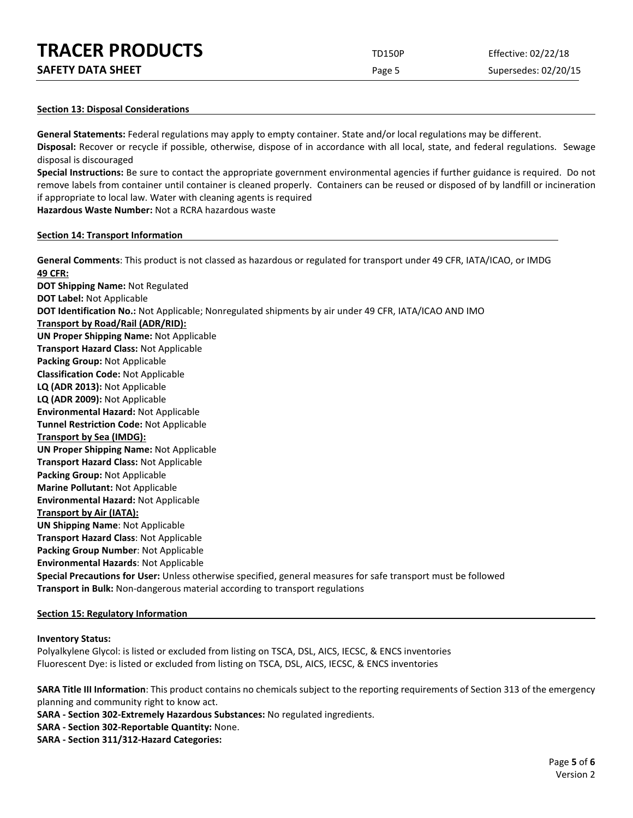| <b>TRACER PRODUCTS</b>   | <b>TD150P</b> | Effective: 02/22/18  |
|--------------------------|---------------|----------------------|
| <b>SAFETY DATA SHEET</b> | Page 5        | Supersedes: 02/20/15 |

#### **Section 13: Disposal Considerations**

**General Statements:** Federal regulations may apply to empty container. State and/or local regulations may be different. **Disposal:** Recover or recycle if possible, otherwise, dispose of in accordance with all local, state, and federal regulations. Sewage disposal is discouraged

**Special Instructions:** Be sure to contact the appropriate government environmental agencies if further guidance is required. Do not remove labels from container until container is cleaned properly. Containers can be reused or disposed of by landfill or incineration if appropriate to local law. Water with cleaning agents is required

**Hazardous Waste Number:** Not a RCRA hazardous waste

#### **Section 14: Transport Information**

**General Comments**: This product is not classed as hazardous or regulated for transport under 49 CFR, IATA/ICAO, or IMDG **49 CFR: DOT Shipping Name:** Not Regulated **DOT Label:** Not Applicable **DOT Identification No.:** Not Applicable; Nonregulated shipments by air under 49 CFR, IATA/ICAO AND IMO **Transport by Road/Rail (ADR/RID): UN Proper Shipping Name:** Not Applicable **Transport Hazard Class:** Not Applicable **Packing Group:** Not Applicable **Classification Code:** Not Applicable **LQ (ADR 2013):** Not Applicable **LQ (ADR 2009):** Not Applicable **Environmental Hazard:** Not Applicable **Tunnel Restriction Code:** Not Applicable **Transport by Sea (IMDG): UN Proper Shipping Name:** Not Applicable **Transport Hazard Class:** Not Applicable **Packing Group:** Not Applicable **Marine Pollutant:** Not Applicable **Environmental Hazard:** Not Applicable **Transport by Air (IATA): UN Shipping Name**: Not Applicable **Transport Hazard Class**: Not Applicable **Packing Group Number**: Not Applicable **Environmental Hazards**: Not Applicable **Special Precautions for User:** Unless otherwise specified, general measures for safe transport must be followed **Transport in Bulk:** Non-dangerous material according to transport regulations

#### **Section 15: Regulatory Information**

#### **Inventory Status:**

Polyalkylene Glycol: is listed or excluded from listing on TSCA, DSL, AICS, IECSC, & ENCS inventories Fluorescent Dye: is listed or excluded from listing on TSCA, DSL, AICS, IECSC, & ENCS inventories

**SARA Title III Information**: This product contains no chemicals subject to the reporting requirements of Section 313 of the emergency planning and community right to know act.

**SARA - Section 302-Extremely Hazardous Substances:** No regulated ingredients.

- **SARA - Section 302-Reportable Quantity:** None.
- **SARA - Section 311/312-Hazard Categories:**